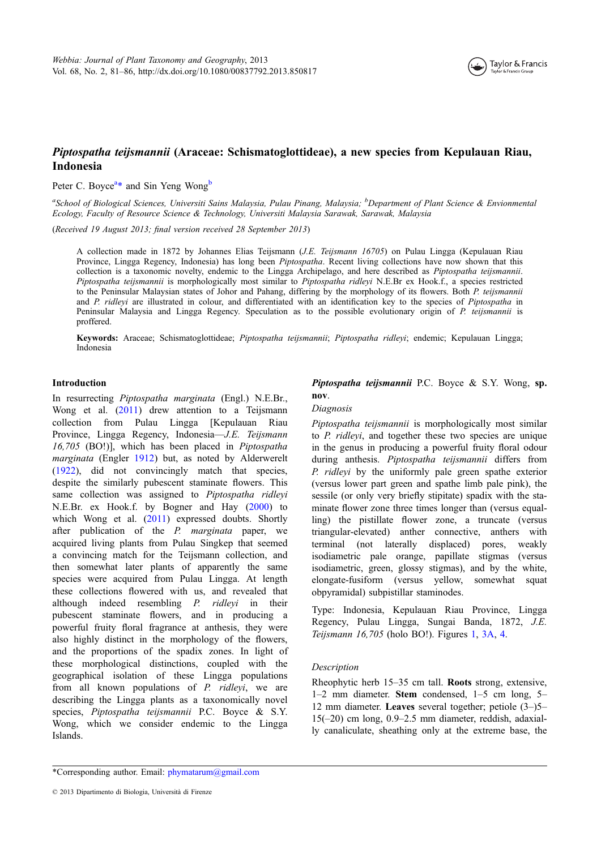

# Piptospatha teijsmannii (Araceae: Schismatoglottideae), a new species from Kepulauan Riau, Indonesia

Peter C. Boyce<sup>a\*</sup> and Sin Yeng Wong<sup>b</sup>

<sup>a</sup>School of Biological Sciences, Universiti Sains Malaysia, Pulau Pinang, Malaysia; <sup>b</sup>Department of Plant Science & Envionmental Ecology, Faculty of Resource Science & Technology, Universiti Malaysia Sarawak, Sarawak, Malaysia

(Received 19 August 2013; final version received 28 September 2013)

A collection made in 1872 by Johannes Elias Teijsmann (J.E. Teijsmann 16705) on Pulau Lingga (Kepulauan Riau Province, Lingga Regency, Indonesia) has long been *Piptospatha*. Recent living collections have now shown that this collection is a taxonomic novelty, endemic to the Lingga Archipelago, and here described as Piptospatha teijsmannii. Piptospatha teijsmannii is morphologically most similar to Piptospatha ridleyi N.E.Br ex Hook.f., a species restricted to the Peninsular Malaysian states of Johor and Pahang, differing by the morphology of its flowers. Both P. teijsmannii and P. ridleyi are illustrated in colour, and differentiated with an identification key to the species of Piptospatha in Peninsular Malaysia and Lingga Regency. Speculation as to the possible evolutionary origin of P. teijsmannii is proffered.

Keywords: Araceae; Schismatoglottideae; Piptospatha teijsmannii; Piptospatha ridleyi; endemic; Kepulauan Lingga; Indonesia

## Introduction

In resurrecting Piptospatha marginata (Engl.) N.E.Br., Wong et al. ([2011](#page-5-0)) drew attention to a Teijsmann collection from Pulau Lingga [Kepulauan Riau Province, Lingga Regency, Indonesia—J.E. Teijsmann 16,705 (BO!)], which has been placed in Piptospatha marginata (Engler [1912](#page-5-0)) but, as noted by Alderwerelt [\(1922](#page-5-0)), did not convincingly match that species, despite the similarly pubescent staminate flowers. This same collection was assigned to Piptospatha ridleyi N.E.Br. ex Hook.f. by Bogner and Hay ([2000\)](#page-5-0) to which Wong et al. ([2011](#page-5-0)) expressed doubts. Shortly after publication of the P. marginata paper, we acquired living plants from Pulau Singkep that seemed a convincing match for the Teijsmann collection, and then somewhat later plants of apparently the same species were acquired from Pulau Lingga. At length these collections flowered with us, and revealed that although indeed resembling  $P$ . *ridlevi* in their pubescent staminate flowers, and in producing a powerful fruity floral fragrance at anthesis, they were also highly distinct in the morphology of the flowers, and the proportions of the spadix zones. In light of these morphological distinctions, coupled with the geographical isolation of these Lingga populations from all known populations of P. ridleyi, we are describing the Lingga plants as a taxonomically novel species, Piptospatha teijsmannii P.C. Boyce & S.Y. Wong, which we consider endemic to the Lingga Islands.

## Piptospatha teijsmannii P.C. Boyce  $\&$  S.Y. Wong, sp. nov.

#### Diagnosis

Piptospatha teijsmannii is morphologically most similar to P. ridleyi, and together these two species are unique in the genus in producing a powerful fruity floral odour during anthesis. Piptospatha teijsmannii differs from P. ridleyi by the uniformly pale green spathe exterior (versus lower part green and spathe limb pale pink), the sessile (or only very briefly stipitate) spadix with the staminate flower zone three times longer than (versus equalling) the pistillate flower zone, a truncate (versus triangular-elevated) anther connective, anthers with terminal (not laterally displaced) pores, weakly isodiametric pale orange, papillate stigmas (versus isodiametric, green, glossy stigmas), and by the white, elongate-fusiform (versus yellow, somewhat squat obpyramidal) subpistillar staminodes.

Type: Indonesia, Kepulauan Riau Province, Lingga Regency, Pulau Lingga, Sungai Banda, 1872, J.E. Teijsmann 16,705 (holo BO!). Figures [1,](#page-1-0) [3A,](#page-3-0) [4](#page-4-0).

## Description

Rheophytic herb 15–35 cm tall. Roots strong, extensive, 1–2 mm diameter. Stem condensed, 1–5 cm long, 5– 12 mm diameter. Leaves several together; petiole (3–)5– 15(–20) cm long, 0.9–2.5 mm diameter, reddish, adaxially canaliculate, sheathing only at the extreme base, the

\*Corresponding author. Email: [phymatarum@gmail.com](mailto:phymatarum@gmail.com)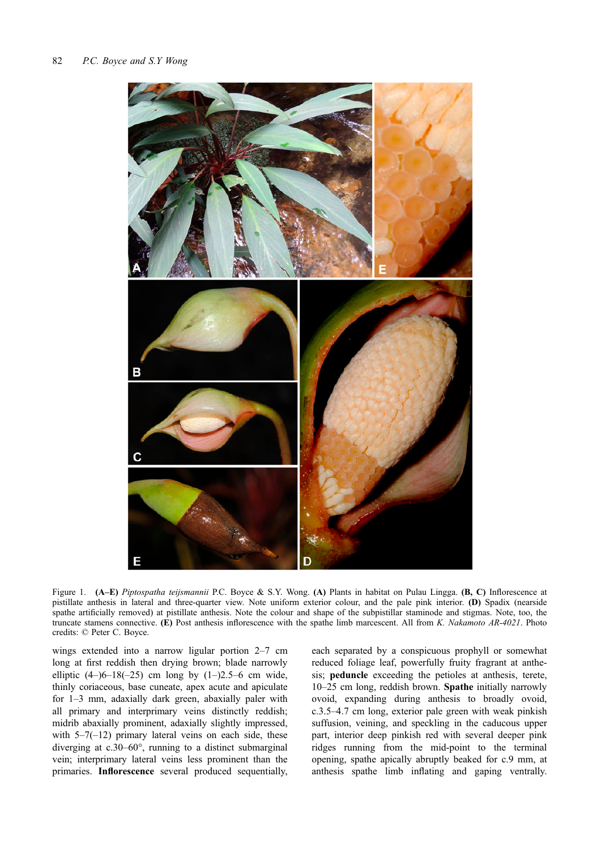<span id="page-1-0"></span>

Figure 1. (A–E) Piptospatha teijsmannii P.C. Boyce & S.Y. Wong. (A) Plants in habitat on Pulau Lingga. (B, C) Inflorescence at pistillate anthesis in lateral and three-quarter view. Note uniform exterior colour, and the pale pink interior. (D) Spadix (nearside spathe artificially removed) at pistillate anthesis. Note the colour and shape of the subpistillar staminode and stigmas. Note, too, the truncate stamens connective. (E) Post anthesis inflorescence with the spathe limb marcescent. All from K. Nakamoto AR-4021. Photo credits: © Peter C. Boyce.

wings extended into a narrow ligular portion 2–7 cm long at first reddish then drying brown; blade narrowly elliptic  $(4-)6-18(-25)$  cm long by  $(1-)2.5-6$  cm wide, thinly coriaceous, base cuneate, apex acute and apiculate for 1–3 mm, adaxially dark green, abaxially paler with all primary and interprimary veins distinctly reddish; midrib abaxially prominent, adaxially slightly impressed, with  $5-7(-12)$  primary lateral veins on each side, these diverging at c.30–60°, running to a distinct submarginal vein; interprimary lateral veins less prominent than the primaries. Inflorescence several produced sequentially,

each separated by a conspicuous prophyll or somewhat reduced foliage leaf, powerfully fruity fragrant at anthesis; peduncle exceeding the petioles at anthesis, terete, 10–25 cm long, reddish brown. Spathe initially narrowly ovoid, expanding during anthesis to broadly ovoid, c.3.5–4.7 cm long, exterior pale green with weak pinkish suffusion, veining, and speckling in the caducous upper part, interior deep pinkish red with several deeper pink ridges running from the mid-point to the terminal opening, spathe apically abruptly beaked for c.9 mm, at anthesis spathe limb inflating and gaping ventrally.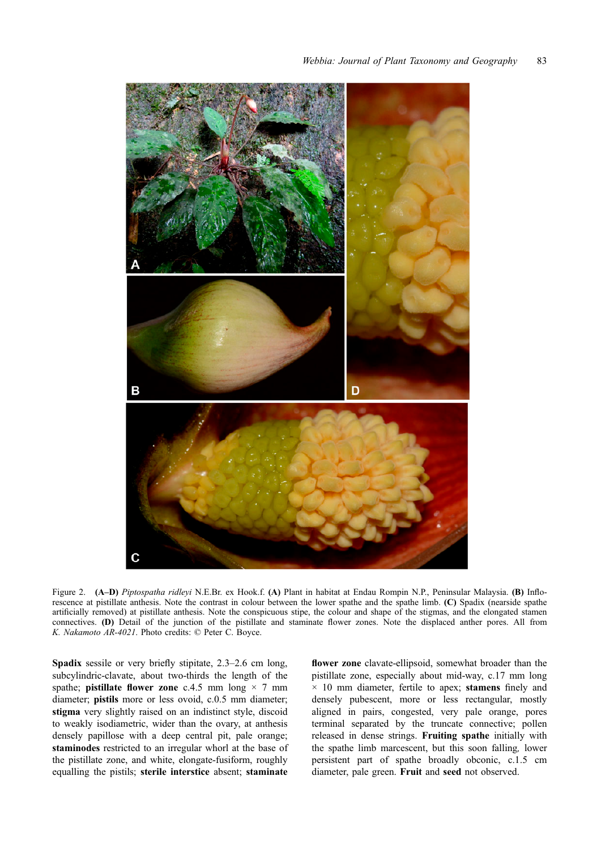<span id="page-2-0"></span>

Figure 2. (A–D) Piptospatha ridleyi N.E.Br. ex Hook.f. (A) Plant in habitat at Endau Rompin N.P., Peninsular Malaysia. (B) Inflorescence at pistillate anthesis. Note the contrast in colour between the lower spathe and the spathe limb. (C) Spadix (nearside spathe artificially removed) at pistillate anthesis. Note the conspicuous stipe, the colour and shape of the stigmas, and the elongated stamen connectives. (D) Detail of the junction of the pistillate and staminate flower zones. Note the displaced anther pores. All from K. Nakamoto AR-4021. Photo credits: © Peter C. Boyce.

Spadix sessile or very briefly stipitate, 2.3–2.6 cm long, subcylindric-clavate, about two-thirds the length of the spathe; **pistillate flower zone** c.4.5 mm long  $\times$  7 mm diameter; pistils more or less ovoid, c.0.5 mm diameter; stigma very slightly raised on an indistinct style, discoid to weakly isodiametric, wider than the ovary, at anthesis densely papillose with a deep central pit, pale orange; staminodes restricted to an irregular whorl at the base of the pistillate zone, and white, elongate-fusiform, roughly equalling the pistils; sterile interstice absent; staminate

flower zone clavate-ellipsoid, somewhat broader than the pistillate zone, especially about mid-way, c.17 mm long  $\times$  10 mm diameter, fertile to apex; stamens finely and densely pubescent, more or less rectangular, mostly aligned in pairs, congested, very pale orange, pores terminal separated by the truncate connective; pollen released in dense strings. Fruiting spathe initially with the spathe limb marcescent, but this soon falling, lower persistent part of spathe broadly obconic, c.1.5 cm diameter, pale green. Fruit and seed not observed.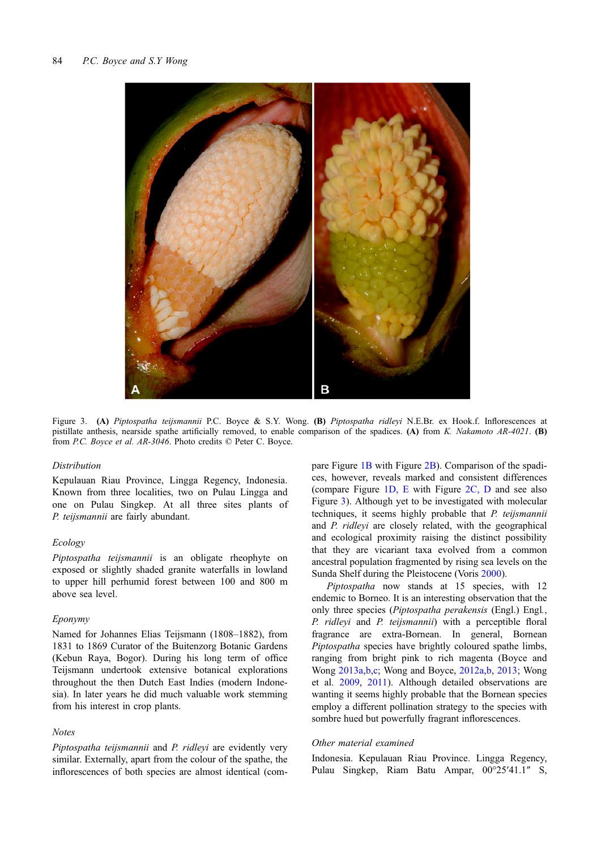<span id="page-3-0"></span>

Figure 3. (A) Piptospatha teijsmannii P.C. Boyce & S.Y. Wong. (B) Piptospatha ridleyi N.E.Br. ex Hook.f. Inflorescences at pistillate anthesis, nearside spathe artificially removed, to enable comparison of the spadices. (A) from K. Nakamoto AR-4021. (B) from P.C. Boyce et al. AR-3046. Photo credits © Peter C. Boyce.

#### Distribution

Kepulauan Riau Province, Lingga Regency, Indonesia. Known from three localities, two on Pulau Lingga and one on Pulau Singkep. At all three sites plants of P. teijsmannii are fairly abundant.

#### Ecology

Piptospatha teijsmannii is an obligate rheophyte on exposed or slightly shaded granite waterfalls in lowland to upper hill perhumid forest between 100 and 800 m above sea level.

#### Eponymy

Named for Johannes Elias Teijsmann (1808–1882), from 1831 to 1869 Curator of the Buitenzorg Botanic Gardens (Kebun Raya, Bogor). During his long term of office Teijsmann undertook extensive botanical explorations throughout the then Dutch East Indies (modern Indonesia). In later years he did much valuable work stemming from his interest in crop plants.

## **Notes**

Piptospatha teijsmannii and P. ridlevi are evidently very similar. Externally, apart from the colour of the spathe, the inflorescences of both species are almost identical (compare Figure [1B](#page-1-0) with Figure [2B](#page-2-0)). Comparison of the spadices, however, reveals marked and consistent differences (compare Figure [1D, E](#page-1-0) with Figure [2C, D](#page-2-0) and see also Figure 3). Although yet to be investigated with molecular techniques, it seems highly probable that P. teijsmannii and P. ridleyi are closely related, with the geographical and ecological proximity raising the distinct possibility that they are vicariant taxa evolved from a common ancestral population fragmented by rising sea levels on the Sunda Shelf during the Pleistocene (Voris [2000\)](#page-5-0).

Piptospatha now stands at 15 species, with 12 endemic to Borneo. It is an interesting observation that the only three species (Piptospatha perakensis (Engl.) Engl., P. ridleyi and P. teijsmannii) with a perceptible floral fragrance are extra-Bornean. In general, Bornean Piptospatha species have brightly coloured spathe limbs, ranging from bright pink to rich magenta (Boyce and Wong [2013a,b](#page-5-0),[c](#page-5-0); Wong and Boyce, [2012a,b](#page-5-0), [2013;](#page-5-0) Wong et al. [2009](#page-5-0), [2011\)](#page-5-0). Although detailed observations are wanting it seems highly probable that the Bornean species employ a different pollination strategy to the species with sombre hued but powerfully fragrant inflorescences.

## Other material examined

Indonesia. Kepulauan Riau Province. Lingga Regency, Pulau Singkep, Riam Batu Ampar, 00°25′41.1″ S,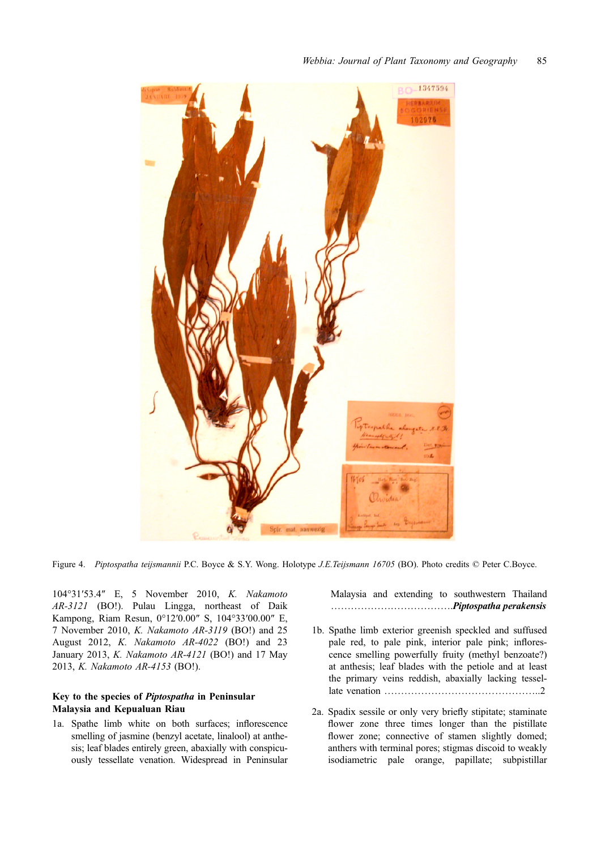<span id="page-4-0"></span>

Figure 4. Piptospatha teijsmannii P.C. Boyce & S.Y. Wong. Holotype J.E.Teijsmann 16705 (BO). Photo credits © Peter C.Boyce.

104°31′53.4″ E, 5 November 2010, K. Nakamoto AR-3121 (BO!). Pulau Lingga, northeast of Daik Kampong, Riam Resun, 0°12′0.00″ S, 104°33′00.00″ E, 7 November 2010, K. Nakamoto AR-3119 (BO!) and 25 August 2012, K. Nakamoto AR-4022 (BO!) and 23 January 2013, K. Nakamoto AR-4121 (BO!) and 17 May 2013, K. Nakamoto AR-4153 (BO!).

# Key to the species of Piptospatha in Peninsular Malaysia and Kepualuan Riau

1a. Spathe limb white on both surfaces; inflorescence smelling of jasmine (benzyl acetate, linalool) at anthesis; leaf blades entirely green, abaxially with conspicuously tessellate venation. Widespread in Peninsular Malaysia and extending to southwestern Thailand ……………………………….Piptospatha perakensis

- 1b. Spathe limb exterior greenish speckled and suffused pale red, to pale pink, interior pale pink; inflorescence smelling powerfully fruity (methyl benzoate?) at anthesis; leaf blades with the petiole and at least the primary veins reddish, abaxially lacking tessellate venation ………………………………………..2
- 2a. Spadix sessile or only very briefly stipitate; staminate flower zone three times longer than the pistillate flower zone; connective of stamen slightly domed; anthers with terminal pores; stigmas discoid to weakly isodiametric pale orange, papillate; subpistillar